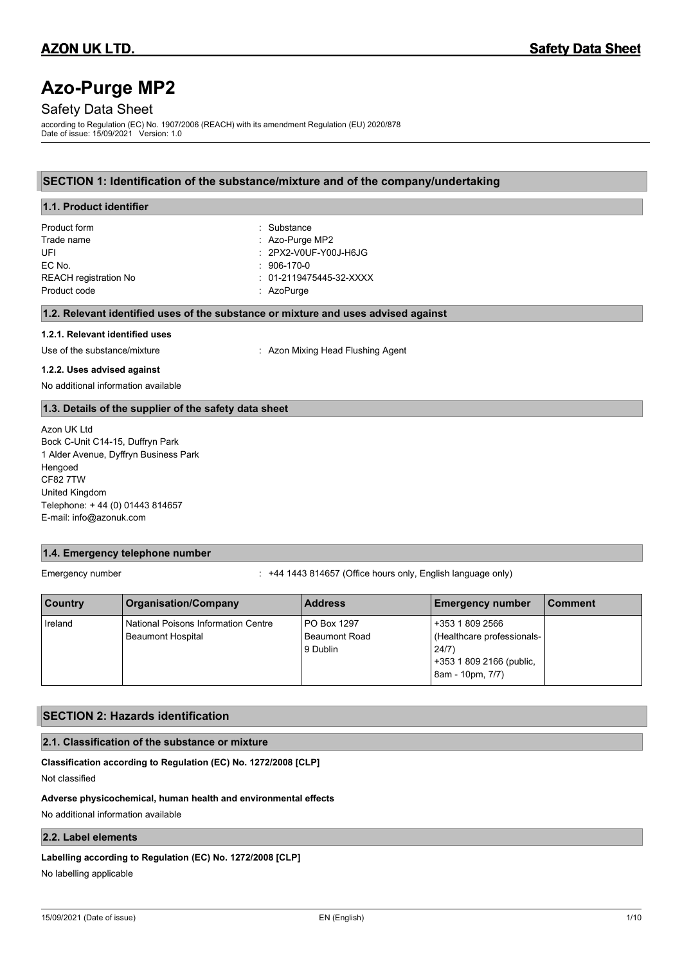# **Azo-Purge MP2**

# Safety Data Sheet

according to Regulation (EC) No. 1907/2006 (REACH) with its amendment Regulation (EU) 2020/878 Date of issue: 15/09/2021 Version: 1.0

# **SECTION 1: Identification of the substance/mixture and of the company/undertaking**

| 1.1. Product identifier         |                                                                                    |
|---------------------------------|------------------------------------------------------------------------------------|
| Product form                    | : Substance                                                                        |
| Trade name                      | $:$ Azo-Purge MP2                                                                  |
| UFI                             | $: 2$ PX2-V0UF-Y00J-H6JG                                                           |
| EC No.                          | $: 906 - 170 - 0$                                                                  |
| <b>REACH registration No</b>    | $: 01-2119475445-32-XXXX$                                                          |
| Product code                    | : $AzoPurge$                                                                       |
|                                 | 1.2. Relevant identified uses of the substance or mixture and uses advised against |
| 1.2.1. Relevant identified uses |                                                                                    |
| Use of the substance/mixture    | : Azon Mixing Head Flushing Agent                                                  |
|                                 |                                                                                    |

#### **1.2.2. Uses advised against**

No additional information available

### **1.3. Details of the supplier of the safety data sheet**

Azon UK Ltd Bock C-Unit C14-15, Duffryn Park 1 Alder Avenue, Dyffryn Business Park Hengoed CF82 7TW United Kingdom Telephone: + 44 (0) 01443 814657 E-mail: info@azonuk.com

# **1.4. Emergency telephone number**

Emergency number : +44 1443 814657 (Office hours only, English language only)

| <b>Country</b> | <b>Organisation/Company</b>                                            | <b>Address</b>                                  | <b>Emergency number</b>                                                                                | l Comment |
|----------------|------------------------------------------------------------------------|-------------------------------------------------|--------------------------------------------------------------------------------------------------------|-----------|
| Ireland        | <b>National Poisons Information Centre</b><br><b>Beaumont Hospital</b> | PO Box 1297<br><b>Beaumont Road</b><br>9 Dublin | +353 1 809 2566<br>(Healthcare professionals-<br>24/7)<br>+353 1 809 2166 (public,<br>8am - 10pm, 7/7) |           |

# **SECTION 2: Hazards identification**

# **2.1. Classification of the substance or mixture**

**Classification according to Regulation (EC) No. 1272/2008 [CLP]**

Not classified

### **Adverse physicochemical, human health and environmental effects**

No additional information available

# **2.2. Label elements**

#### **Labelling according to Regulation (EC) No. 1272/2008 [CLP]**

No labelling applicable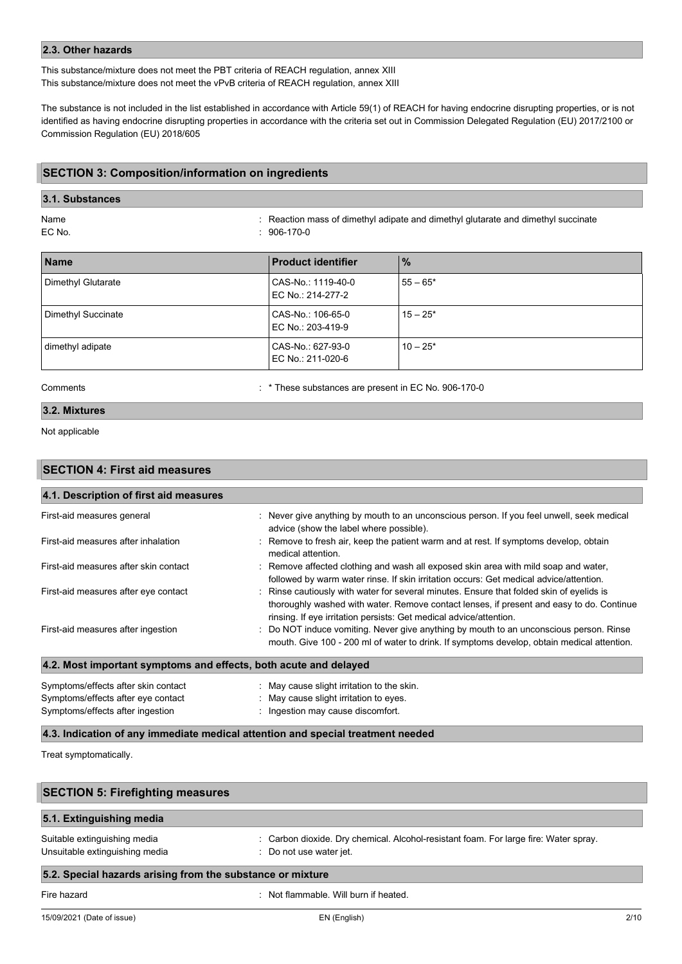### **2.3. Other hazards**

This substance/mixture does not meet the PBT criteria of REACH regulation, annex XIII This substance/mixture does not meet the vPvB criteria of REACH regulation, annex XIII

The substance is not included in the list established in accordance with Article 59(1) of REACH for having endocrine disrupting properties, or is not identified as having endocrine disrupting properties in accordance with the criteria set out in Commission Delegated Regulation (EU) 2017/2100 or Commission Regulation (EU) 2018/605

### **SECTION 3: Composition/information on ingredients**

# **3.1. Substances**

Name : Reaction mass of dimethyl adipate and dimethyl glutarate and dimethyl succinate  $: 906 - 170 - 0$ 

| <b>Name</b>        | <b>Product identifier</b>               | $\frac{9}{6}$ |
|--------------------|-----------------------------------------|---------------|
| Dimethyl Glutarate | CAS-No.: 1119-40-0<br>EC No.: 214-277-2 | $55 - 65*$    |
| Dimethyl Succinate | CAS-No.: 106-65-0<br>EC No.: 203-419-9  | $15 - 25*$    |
| dimethyl adipate   | CAS-No.: 627-93-0<br>EC No.: 211-020-6  | $10 - 25*$    |

Comments : \* These substances are present in EC No. 906-170-0

# **3.2. Mixtures**

Not applicable

# **SECTION 4: First aid measures**

| 4.1. Description of first aid measures                           |                                                                                                                                                                                                                                                          |
|------------------------------------------------------------------|----------------------------------------------------------------------------------------------------------------------------------------------------------------------------------------------------------------------------------------------------------|
| First-aid measures general                                       | : Never give anything by mouth to an unconscious person. If you feel unwell, seek medical<br>advice (show the label where possible).                                                                                                                     |
| First-aid measures after inhalation                              | Remove to fresh air, keep the patient warm and at rest. If symptoms develop, obtain<br>medical attention.                                                                                                                                                |
| First-aid measures after skin contact                            | : Remove affected clothing and wash all exposed skin area with mild soap and water,<br>followed by warm water rinse. If skin irritation occurs: Get medical advice/attention.                                                                            |
| First-aid measures after eye contact                             | Rinse cautiously with water for several minutes. Ensure that folded skin of eyelids is<br>thoroughly washed with water. Remove contact lenses, if present and easy to do. Continue<br>rinsing. If eye irritation persists: Get medical advice/attention. |
| First-aid measures after ingestion                               | : Do NOT induce vomiting. Never give anything by mouth to an unconscious person. Rinse<br>mouth. Give 100 - 200 ml of water to drink. If symptoms develop, obtain medical attention.                                                                     |
| 4.2. Most important symptoms and effects, both acute and delayed |                                                                                                                                                                                                                                                          |
| Symptoms/effects after skin contact                              | : May cause slight irritation to the skin.                                                                                                                                                                                                               |
|                                                                  |                                                                                                                                                                                                                                                          |

Symptoms/effects after eye contact : May cause slight irritation to eyes. Symptoms/effects after ingestion : Ingestion may cause discomfort.

#### **4.3. Indication of any immediate medical attention and special treatment needed**

Treat symptomatically.

| 5.1. Extinguishing media       |                                                                                      |
|--------------------------------|--------------------------------------------------------------------------------------|
| Suitable extinguishing media   | : Carbon dioxide. Dry chemical. Alcohol-resistant foam. For large fire: Water spray. |
| Unsuitable extinguishing media | : Do not use water jet.                                                              |

# Fire hazard **in the set of the set of the set of the set of the set of the set of the set of the set of the set of the set of the set of the set of the set of the set of the set of the set of the set of the set of the set**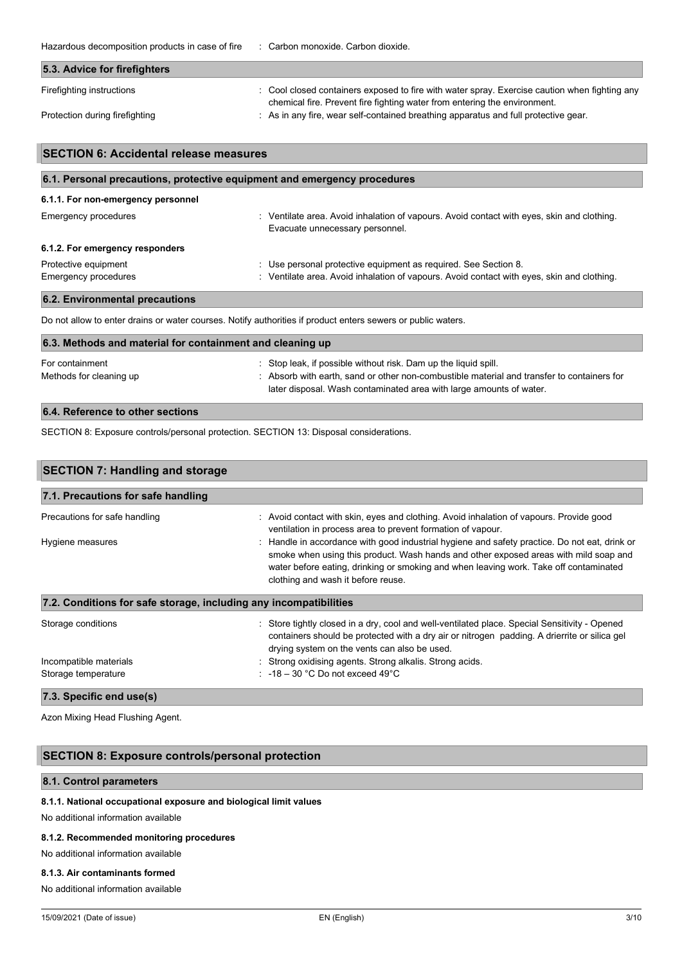Hazardous decomposition products in case of fire : Carbon monoxide. Carbon dioxide.

| 5.3. Advice for firefighters   |                                                                                               |
|--------------------------------|-----------------------------------------------------------------------------------------------|
| Firefighting instructions      | : Cool closed containers exposed to fire with water spray. Exercise caution when fighting any |
|                                | chemical fire. Prevent fire fighting water from entering the environment.                     |
| Protection during firefighting | : As in any fire, wear self-contained breathing apparatus and full protective gear.           |

| <b>SECTION 6: Accidental release measures</b>                            |                                                                                                                                                               |  |  |
|--------------------------------------------------------------------------|---------------------------------------------------------------------------------------------------------------------------------------------------------------|--|--|
| 6.1. Personal precautions, protective equipment and emergency procedures |                                                                                                                                                               |  |  |
| 6.1.1. For non-emergency personnel                                       |                                                                                                                                                               |  |  |
| Emergency procedures                                                     | : Ventilate area. Avoid inhalation of vapours. Avoid contact with eyes, skin and clothing.<br>Evacuate unnecessary personnel.                                 |  |  |
| 6.1.2. For emergency responders                                          |                                                                                                                                                               |  |  |
| Protective equipment<br>Emergency procedures                             | : Use personal protective equipment as required. See Section 8.<br>: Ventilate area. Avoid inhalation of vapours. Avoid contact with eyes, skin and clothing. |  |  |

# **6.2. Environmental precautions**

Do not allow to enter drains or water courses. Notify authorities if product enters sewers or public waters.

| 6.3. Methods and material for containment and cleaning up |                                                                                                                                                                                                                                      |  |  |
|-----------------------------------------------------------|--------------------------------------------------------------------------------------------------------------------------------------------------------------------------------------------------------------------------------------|--|--|
| For containment<br>Methods for cleaning up                | : Stop leak, if possible without risk. Dam up the liquid spill.<br>: Absorb with earth, sand or other non-combustible material and transfer to containers for<br>later disposal. Wash contaminated area with large amounts of water. |  |  |

# **6.4. Reference to other sections**

SECTION 8: Exposure controls/personal protection. SECTION 13: Disposal considerations.

| <b>SECTION 7: Handling and storage</b>                            |                                                                                                                                                                                                                                                                                                                      |  |  |
|-------------------------------------------------------------------|----------------------------------------------------------------------------------------------------------------------------------------------------------------------------------------------------------------------------------------------------------------------------------------------------------------------|--|--|
| 7.1. Precautions for safe handling                                |                                                                                                                                                                                                                                                                                                                      |  |  |
| Precautions for safe handling                                     | : Avoid contact with skin, eyes and clothing. Avoid inhalation of vapours. Provide good<br>ventilation in process area to prevent formation of vapour.                                                                                                                                                               |  |  |
| Hygiene measures                                                  | : Handle in accordance with good industrial hygiene and safety practice. Do not eat, drink or<br>smoke when using this product. Wash hands and other exposed areas with mild soap and<br>water before eating, drinking or smoking and when leaving work. Take off contaminated<br>clothing and wash it before reuse. |  |  |
| 7.2. Conditions for safe storage, including any incompatibilities |                                                                                                                                                                                                                                                                                                                      |  |  |
| Storage conditions                                                | : Store tightly closed in a dry, cool and well-ventilated place. Special Sensitivity - Opened<br>containers should be protected with a dry air or nitrogen padding. A drierrite or silica gel<br>drying system on the vents can also be used.                                                                        |  |  |
| Incompatible materials                                            | : Strong oxidising agents. Strong alkalis. Strong acids.                                                                                                                                                                                                                                                             |  |  |
| Storage temperature                                               | : $-18-30$ °C Do not exceed 49°C                                                                                                                                                                                                                                                                                     |  |  |

Azon Mixing Head Flushing Agent.

# **SECTION 8: Exposure controls/personal protection**

# **8.1. Control parameters**

#### **8.1.1. National occupational exposure and biological limit values**

No additional information available

# **8.1.2. Recommended monitoring procedures**

No additional information available

#### **8.1.3. Air contaminants formed**

No additional information available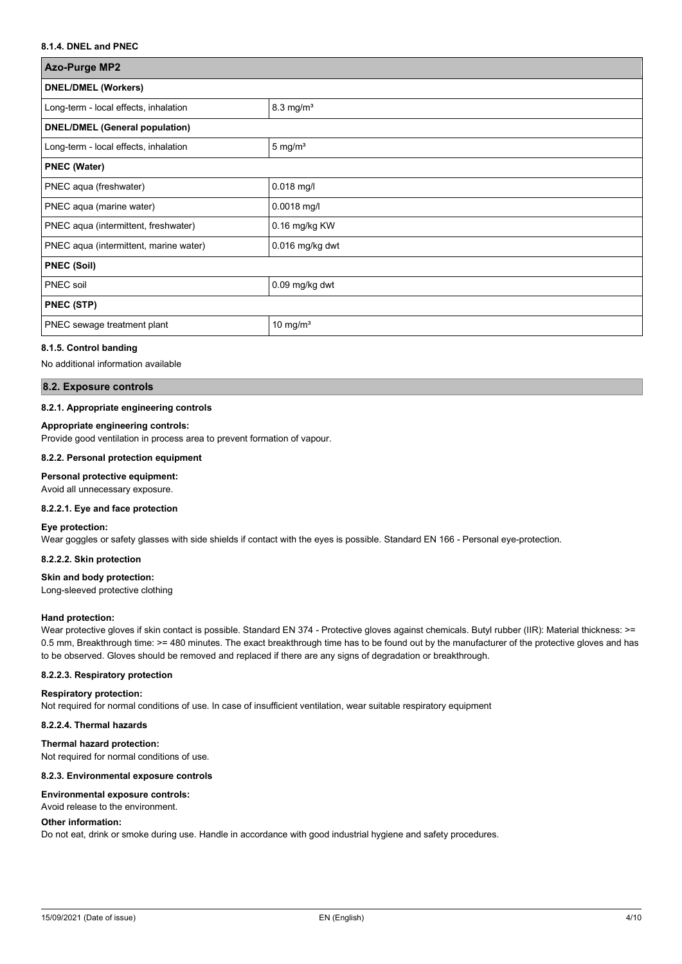# **8.1.4. DNEL and PNEC**

| <b>Azo-Purge MP2</b>                   |                      |  |
|----------------------------------------|----------------------|--|
| <b>DNEL/DMEL (Workers)</b>             |                      |  |
| Long-term - local effects, inhalation  | $8.3 \text{ mg/m}^3$ |  |
| <b>DNEL/DMEL (General population)</b>  |                      |  |
| Long-term - local effects, inhalation  | $5 \text{ mg/m}^3$   |  |
| <b>PNEC (Water)</b>                    |                      |  |
| PNEC aqua (freshwater)                 | $0.018$ mg/l         |  |
| PNEC aqua (marine water)               | 0.0018 mg/l          |  |
| PNEC aqua (intermittent, freshwater)   | 0.16 mg/kg KW        |  |
| PNEC aqua (intermittent, marine water) | 0.016 mg/kg dwt      |  |
| <b>PNEC (Soil)</b>                     |                      |  |
| <b>PNEC</b> soil                       | 0.09 mg/kg dwt       |  |
| <b>PNEC (STP)</b>                      |                      |  |
| PNEC sewage treatment plant            | 10 mg/ $m3$          |  |

#### **8.1.5. Control banding**

No additional information available

#### **8.2. Exposure controls**

#### **8.2.1. Appropriate engineering controls**

#### **Appropriate engineering controls:**

Provide good ventilation in process area to prevent formation of vapour.

#### **8.2.2. Personal protection equipment**

#### **Personal protective equipment:**

Avoid all unnecessary exposure.

#### **8.2.2.1. Eye and face protection**

#### **Eye protection:**

Wear goggles or safety glasses with side shields if contact with the eyes is possible. Standard EN 166 - Personal eye-protection.

**8.2.2.2. Skin protection**

#### **Skin and body protection:**

Long-sleeved protective clothing

#### **Hand protection:**

Wear protective gloves if skin contact is possible. Standard EN 374 - Protective gloves against chemicals. Butyl rubber (IIR): Material thickness: >= 0.5 mm, Breakthrough time: >= 480 minutes. The exact breakthrough time has to be found out by the manufacturer of the protective gloves and has to be observed. Gloves should be removed and replaced if there are any signs of degradation or breakthrough.

#### **8.2.2.3. Respiratory protection**

#### **Respiratory protection:**

Not required for normal conditions of use. In case of insufficient ventilation, wear suitable respiratory equipment

#### **8.2.2.4. Thermal hazards**

#### **Thermal hazard protection:**

Not required for normal conditions of use.

#### **8.2.3. Environmental exposure controls**

#### **Environmental exposure controls:**

Avoid release to the environment.

#### **Other information:**

Do not eat, drink or smoke during use. Handle in accordance with good industrial hygiene and safety procedures.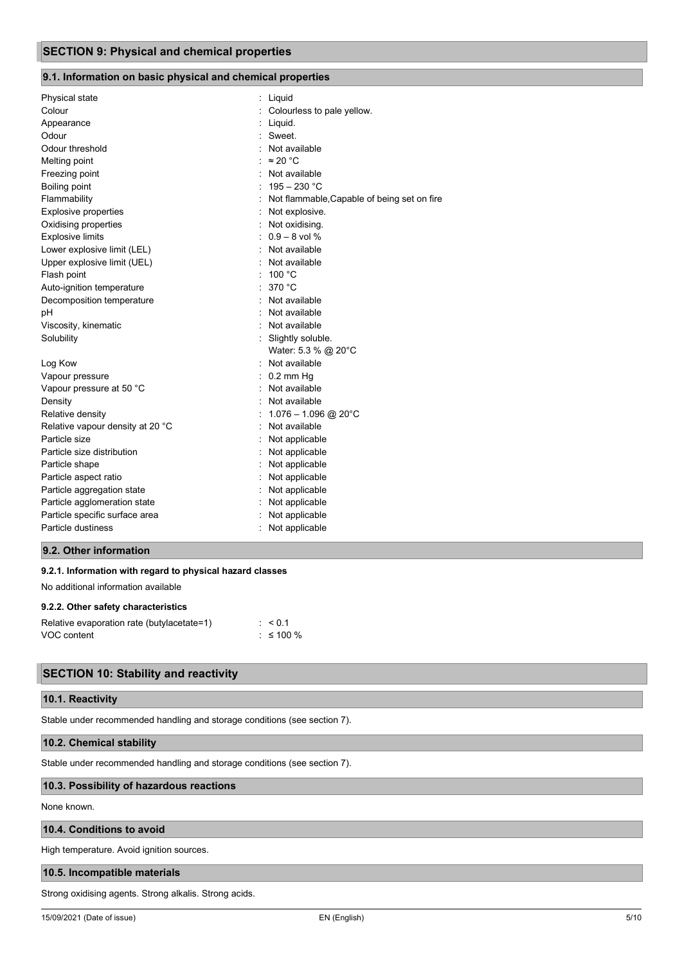# **9.1. Information on basic physical and chemical properties**

| Physical state                   | : Liquid                                    |  |
|----------------------------------|---------------------------------------------|--|
| Colour                           | : Colourless to pale yellow.                |  |
| Appearance                       | Liquid.                                     |  |
| Odour                            | : Sweet.                                    |  |
| Odour threshold                  | : Not available                             |  |
| Melting point                    | : $\approx 20$ °C                           |  |
| Freezing point                   | Not available                               |  |
| Boiling point                    | $195 - 230 °C$                              |  |
| Flammability                     | Not flammable, Capable of being set on fire |  |
| <b>Explosive properties</b>      | Not explosive.                              |  |
| Oxidising properties             | Not oxidising.                              |  |
| <b>Explosive limits</b>          | $: 0.9 - 8$ vol %                           |  |
| Lower explosive limit (LEL)      | : Not available                             |  |
| Upper explosive limit (UEL)      | Not available                               |  |
| Flash point                      | : $100 °C$                                  |  |
| Auto-ignition temperature        | 370 °C                                      |  |
| Decomposition temperature        | Not available                               |  |
| рH                               | Not available                               |  |
| Viscosity, kinematic             | Not available<br>$\sim$                     |  |
| Solubility                       | : Slightly soluble.                         |  |
|                                  | Water: 5.3 % @ 20°C                         |  |
| Log Kow                          | Not available                               |  |
| Vapour pressure                  | $0.2$ mm Hg                                 |  |
| Vapour pressure at 50 °C         | Not available                               |  |
| Density                          | Not available                               |  |
| Relative density                 | $1.076 - 1.096$ @ 20°C                      |  |
| Relative vapour density at 20 °C | Not available                               |  |
| Particle size                    | Not applicable                              |  |
| Particle size distribution       | Not applicable                              |  |
| Particle shape                   | Not applicable                              |  |
| Particle aspect ratio            | Not applicable                              |  |
| Particle aggregation state       | Not applicable                              |  |
| Particle agglomeration state     | Not applicable                              |  |
| Particle specific surface area   | Not applicable                              |  |
| Particle dustiness               | Not applicable                              |  |
|                                  |                                             |  |

# **9.2. Other information**

### **9.2.1. Information with regard to physical hazard classes**

No additional information available

#### **9.2.2. Other safety characteristics**

| Relative evaporation rate (butylacetate=1) | $\leq 0.1$  |
|--------------------------------------------|-------------|
| VOC content                                | $:$ ≤ 100 % |

# **SECTION 10: Stability and reactivity**

# **10.1. Reactivity**

Stable under recommended handling and storage conditions (see section 7).

# **10.2. Chemical stability**

Stable under recommended handling and storage conditions (see section 7).

#### **10.3. Possibility of hazardous reactions**

None known.

# **10.4. Conditions to avoid**

High temperature. Avoid ignition sources.

# **10.5. Incompatible materials**

Strong oxidising agents. Strong alkalis. Strong acids.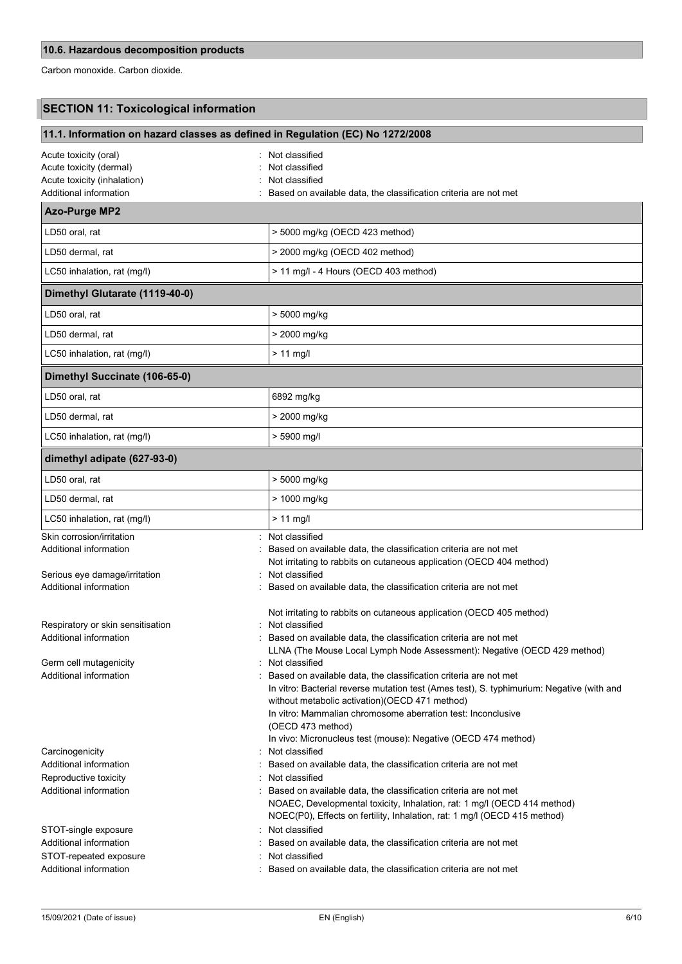Carbon monoxide. Carbon dioxide.

# **SECTION 11: Toxicological information**

| 11.1. Information on hazard classes as defined in Regulation (EC) No 1272/2008                                                                                                                     |                                                                                                                                                                                                                                                                                                                                                                                                                                                                                                                                                                                                                                    |  |
|----------------------------------------------------------------------------------------------------------------------------------------------------------------------------------------------------|------------------------------------------------------------------------------------------------------------------------------------------------------------------------------------------------------------------------------------------------------------------------------------------------------------------------------------------------------------------------------------------------------------------------------------------------------------------------------------------------------------------------------------------------------------------------------------------------------------------------------------|--|
| Acute toxicity (oral)<br>Acute toxicity (dermal)<br>Acute toxicity (inhalation)<br>Additional information                                                                                          | Not classified<br>Not classified<br>Not classified<br>Based on available data, the classification criteria are not met                                                                                                                                                                                                                                                                                                                                                                                                                                                                                                             |  |
| <b>Azo-Purge MP2</b>                                                                                                                                                                               |                                                                                                                                                                                                                                                                                                                                                                                                                                                                                                                                                                                                                                    |  |
| LD50 oral, rat                                                                                                                                                                                     | > 5000 mg/kg (OECD 423 method)                                                                                                                                                                                                                                                                                                                                                                                                                                                                                                                                                                                                     |  |
| LD50 dermal, rat                                                                                                                                                                                   | > 2000 mg/kg (OECD 402 method)                                                                                                                                                                                                                                                                                                                                                                                                                                                                                                                                                                                                     |  |
| LC50 inhalation, rat (mg/l)                                                                                                                                                                        | > 11 mg/l - 4 Hours (OECD 403 method)                                                                                                                                                                                                                                                                                                                                                                                                                                                                                                                                                                                              |  |
| Dimethyl Glutarate (1119-40-0)                                                                                                                                                                     |                                                                                                                                                                                                                                                                                                                                                                                                                                                                                                                                                                                                                                    |  |
| LD50 oral, rat                                                                                                                                                                                     | > 5000 mg/kg                                                                                                                                                                                                                                                                                                                                                                                                                                                                                                                                                                                                                       |  |
| LD50 dermal, rat                                                                                                                                                                                   | > 2000 mg/kg                                                                                                                                                                                                                                                                                                                                                                                                                                                                                                                                                                                                                       |  |
| LC50 inhalation, rat (mg/l)                                                                                                                                                                        | $> 11$ mg/l                                                                                                                                                                                                                                                                                                                                                                                                                                                                                                                                                                                                                        |  |
| Dimethyl Succinate (106-65-0)                                                                                                                                                                      |                                                                                                                                                                                                                                                                                                                                                                                                                                                                                                                                                                                                                                    |  |
| LD50 oral, rat                                                                                                                                                                                     | 6892 mg/kg                                                                                                                                                                                                                                                                                                                                                                                                                                                                                                                                                                                                                         |  |
| LD50 dermal. rat                                                                                                                                                                                   | > 2000 mg/kg                                                                                                                                                                                                                                                                                                                                                                                                                                                                                                                                                                                                                       |  |
| LC50 inhalation, rat (mg/l)                                                                                                                                                                        | > 5900 mg/l                                                                                                                                                                                                                                                                                                                                                                                                                                                                                                                                                                                                                        |  |
| dimethyl adipate (627-93-0)                                                                                                                                                                        |                                                                                                                                                                                                                                                                                                                                                                                                                                                                                                                                                                                                                                    |  |
| LD50 oral, rat                                                                                                                                                                                     | > 5000 mg/kg                                                                                                                                                                                                                                                                                                                                                                                                                                                                                                                                                                                                                       |  |
| LD50 dermal, rat                                                                                                                                                                                   | > 1000 mg/kg                                                                                                                                                                                                                                                                                                                                                                                                                                                                                                                                                                                                                       |  |
| LC50 inhalation, rat (mg/l)                                                                                                                                                                        | $> 11$ mg/l                                                                                                                                                                                                                                                                                                                                                                                                                                                                                                                                                                                                                        |  |
| Skin corrosion/irritation<br>Additional information<br>Serious eye damage/irritation                                                                                                               | Not classified<br>Based on available data, the classification criteria are not met<br>Not irritating to rabbits on cutaneous application (OECD 404 method)<br>Not classified                                                                                                                                                                                                                                                                                                                                                                                                                                                       |  |
| Additional information                                                                                                                                                                             | Based on available data, the classification criteria are not met                                                                                                                                                                                                                                                                                                                                                                                                                                                                                                                                                                   |  |
| Respiratory or skin sensitisation<br>Additional information<br>Germ cell mutagenicity<br>Additional information                                                                                    | Not irritating to rabbits on cutaneous application (OECD 405 method)<br>Not classified<br>Based on available data, the classification criteria are not met<br>LLNA (The Mouse Local Lymph Node Assessment): Negative (OECD 429 method)<br>Not classified<br>Based on available data, the classification criteria are not met<br>In vitro: Bacterial reverse mutation test (Ames test), S. typhimurium: Negative (with and<br>without metabolic activation)(OECD 471 method)<br>In vitro: Mammalian chromosome aberration test: Inconclusive<br>(OECD 473 method)<br>In vivo: Micronucleus test (mouse): Negative (OECD 474 method) |  |
| Carcinogenicity<br>Additional information<br>Reproductive toxicity<br>Additional information<br>STOT-single exposure<br>Additional information<br>STOT-repeated exposure<br>Additional information | Not classified<br>Based on available data, the classification criteria are not met<br>Not classified<br>Based on available data, the classification criteria are not met<br>NOAEC, Developmental toxicity, Inhalation, rat: 1 mg/l (OECD 414 method)<br>NOEC(P0), Effects on fertility, Inhalation, rat: 1 mg/l (OECD 415 method)<br>Not classified<br>Based on available data, the classification criteria are not met<br>Not classified<br>Based on available data, the classification criteria are not met                                                                                                                      |  |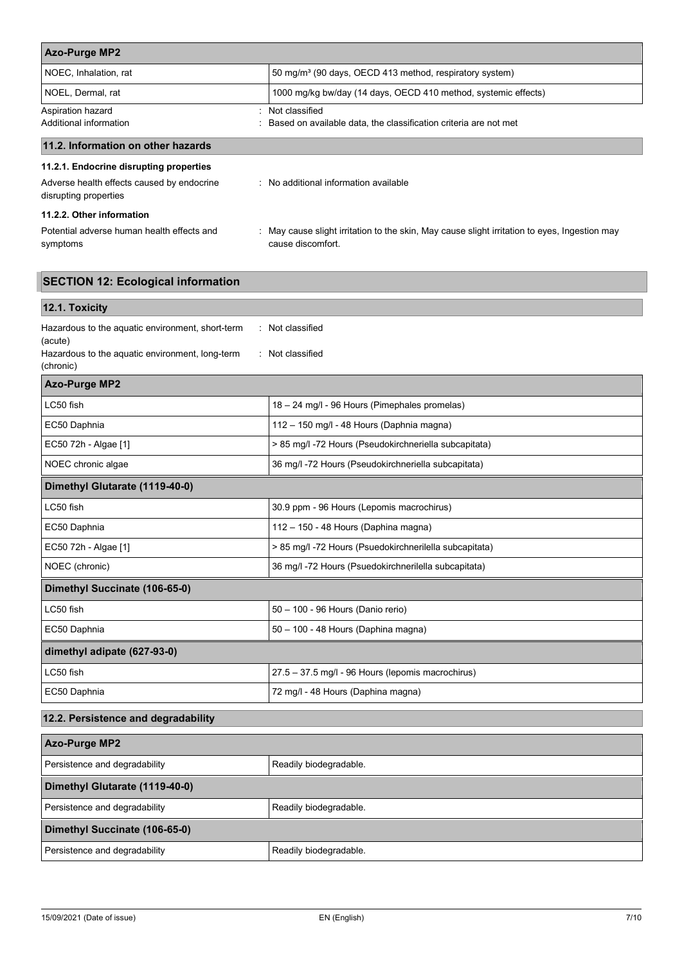| <b>Azo-Purge MP2</b>                                                |                                                                                                                    |  |
|---------------------------------------------------------------------|--------------------------------------------------------------------------------------------------------------------|--|
| NOEC, Inhalation, rat                                               | 50 mg/m <sup>3</sup> (90 days, OECD 413 method, respiratory system)                                                |  |
| NOEL, Dermal, rat                                                   | 1000 mg/kg bw/day (14 days, OECD 410 method, systemic effects)                                                     |  |
| Aspiration hazard                                                   | : Not classified                                                                                                   |  |
| Additional information                                              | Based on available data, the classification criteria are not met                                                   |  |
| 11.2. Information on other hazards                                  |                                                                                                                    |  |
| 11.2.1. Endocrine disrupting properties                             |                                                                                                                    |  |
| Adverse health effects caused by endocrine<br>disrupting properties | : No additional information available                                                                              |  |
| 11.2.2. Other information                                           |                                                                                                                    |  |
| Potential adverse human health effects and<br>symptoms              | : May cause slight irritation to the skin, May cause slight irritation to eyes, Ingestion may<br>cause discomfort. |  |

# **SECTION 12: Ecological information**

| 12.1. Toxicity                                                                                                                                                      |                                                        |  |  |  |
|---------------------------------------------------------------------------------------------------------------------------------------------------------------------|--------------------------------------------------------|--|--|--|
| Hazardous to the aquatic environment, short-term<br>: Not classified<br>(acute)<br>Hazardous to the aquatic environment, long-term<br>: Not classified<br>(chronic) |                                                        |  |  |  |
| <b>Azo-Purge MP2</b>                                                                                                                                                |                                                        |  |  |  |
| LC50 fish                                                                                                                                                           | 18 - 24 mg/l - 96 Hours (Pimephales promelas)          |  |  |  |
| EC50 Daphnia                                                                                                                                                        | 112 - 150 mg/l - 48 Hours (Daphnia magna)              |  |  |  |
| EC50 72h - Algae [1]                                                                                                                                                | > 85 mg/l -72 Hours (Pseudokirchneriella subcapitata)  |  |  |  |
| NOEC chronic algae                                                                                                                                                  | 36 mg/l -72 Hours (Pseudokirchneriella subcapitata)    |  |  |  |
| Dimethyl Glutarate (1119-40-0)                                                                                                                                      |                                                        |  |  |  |
| LC50 fish                                                                                                                                                           | 30.9 ppm - 96 Hours (Lepomis macrochirus)              |  |  |  |
| EC50 Daphnia                                                                                                                                                        | 112 - 150 - 48 Hours (Daphina magna)                   |  |  |  |
| EC50 72h - Algae [1]                                                                                                                                                | > 85 mg/l -72 Hours (Psuedokirchnerilella subcapitata) |  |  |  |
| NOEC (chronic)                                                                                                                                                      | 36 mg/l -72 Hours (Psuedokirchnerilella subcapitata)   |  |  |  |
| Dimethyl Succinate (106-65-0)                                                                                                                                       |                                                        |  |  |  |
| LC50 fish                                                                                                                                                           | 50 - 100 - 96 Hours (Danio rerio)                      |  |  |  |
| EC50 Daphnia                                                                                                                                                        | 50 - 100 - 48 Hours (Daphina magna)                    |  |  |  |
| dimethyl adipate (627-93-0)                                                                                                                                         |                                                        |  |  |  |
| LC50 fish                                                                                                                                                           | 27.5 - 37.5 mg/l - 96 Hours (lepomis macrochirus)      |  |  |  |
| EC50 Daphnia                                                                                                                                                        | 72 mg/l - 48 Hours (Daphina magna)                     |  |  |  |
| 12.2. Persistence and degradability                                                                                                                                 |                                                        |  |  |  |
| <b>Azo-Purge MP2</b>                                                                                                                                                |                                                        |  |  |  |
| Persistence and degradability                                                                                                                                       | Readily biodegradable.                                 |  |  |  |
| Dimethyl Glutarate (1119-40-0)                                                                                                                                      |                                                        |  |  |  |
| Persistence and degradability                                                                                                                                       | Readily biodegradable.                                 |  |  |  |
| Dimethyl Succinate (106-65-0)                                                                                                                                       |                                                        |  |  |  |
| Persistence and degradability                                                                                                                                       | Readily biodegradable.                                 |  |  |  |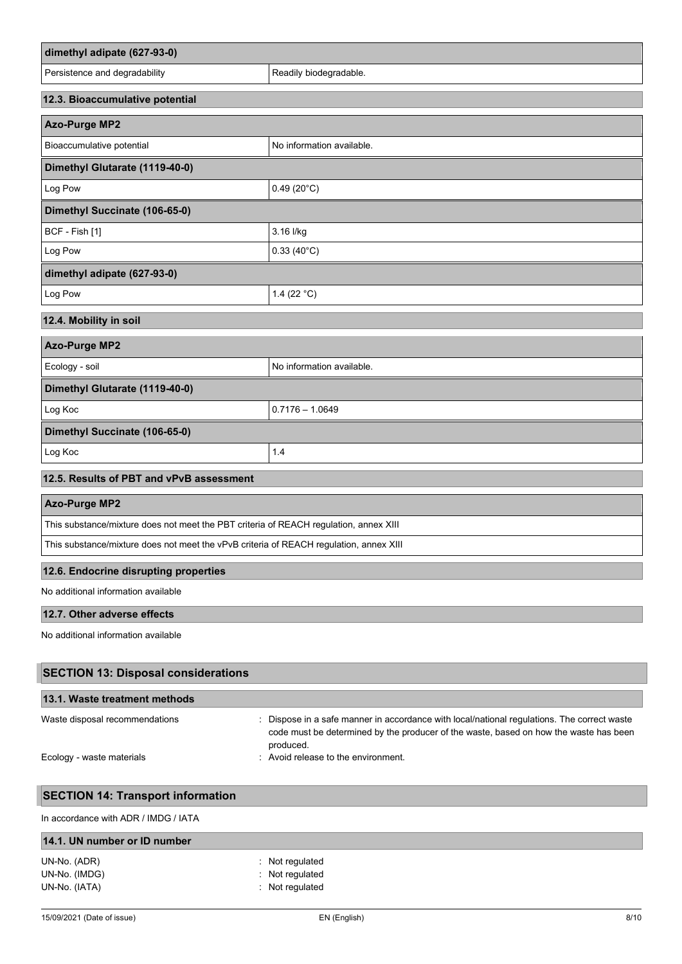| dimethyl adipate (627-93-0)                                                            |                                                                                                                                                                                                  |
|----------------------------------------------------------------------------------------|--------------------------------------------------------------------------------------------------------------------------------------------------------------------------------------------------|
| Persistence and degradability                                                          | Readily biodegradable.                                                                                                                                                                           |
| 12.3. Bioaccumulative potential                                                        |                                                                                                                                                                                                  |
| <b>Azo-Purge MP2</b>                                                                   |                                                                                                                                                                                                  |
| Bioaccumulative potential                                                              | No information available.                                                                                                                                                                        |
| Dimethyl Glutarate (1119-40-0)                                                         |                                                                                                                                                                                                  |
| Log Pow                                                                                | $0.49(20^{\circ}C)$                                                                                                                                                                              |
| Dimethyl Succinate (106-65-0)                                                          |                                                                                                                                                                                                  |
| BCF - Fish [1]                                                                         | 3.16 l/kg                                                                                                                                                                                        |
| Log Pow                                                                                | $0.33(40^{\circ}C)$                                                                                                                                                                              |
| dimethyl adipate (627-93-0)                                                            |                                                                                                                                                                                                  |
| Log Pow                                                                                | 1.4 (22 $°C$ )                                                                                                                                                                                   |
| 12.4. Mobility in soil                                                                 |                                                                                                                                                                                                  |
| <b>Azo-Purge MP2</b>                                                                   |                                                                                                                                                                                                  |
| Ecology - soil                                                                         | No information available.                                                                                                                                                                        |
| Dimethyl Glutarate (1119-40-0)                                                         |                                                                                                                                                                                                  |
| Log Koc                                                                                | $0.7176 - 1.0649$                                                                                                                                                                                |
| Dimethyl Succinate (106-65-0)                                                          |                                                                                                                                                                                                  |
| Log Koc                                                                                | 1.4                                                                                                                                                                                              |
| 12.5. Results of PBT and vPvB assessment                                               |                                                                                                                                                                                                  |
| <b>Azo-Purge MP2</b>                                                                   |                                                                                                                                                                                                  |
| This substance/mixture does not meet the PBT criteria of REACH regulation, annex XIII  |                                                                                                                                                                                                  |
| This substance/mixture does not meet the vPvB criteria of REACH regulation, annex XIII |                                                                                                                                                                                                  |
| 12.6. Endocrine disrupting properties                                                  |                                                                                                                                                                                                  |
| No additional information available                                                    |                                                                                                                                                                                                  |
| 12.7. Other adverse effects                                                            |                                                                                                                                                                                                  |
| No additional information available                                                    |                                                                                                                                                                                                  |
| <b>SECTION 13: Disposal considerations</b>                                             |                                                                                                                                                                                                  |
| 13.1. Waste treatment methods                                                          |                                                                                                                                                                                                  |
| Waste disposal recommendations                                                         | : Dispose in a safe manner in accordance with local/national regulations. The correct waste<br>code must be determined by the producer of the waste, based on how the waste has been<br>produced |

produced. Ecology - waste materials **Ecology - waste materials** : Avoid release to the environment.

# **SECTION 14: Transport information**

In accordance with ADR / IMDG / IATA

| 14.1. UN number or ID number |                            |  |
|------------------------------|----------------------------|--|
| UN-No. (ADR)                 | $\therefore$ Not regulated |  |
| UN-No. (IMDG)                | $:$ Not regulated          |  |
| UN-No. (IATA)                | : Not regulated            |  |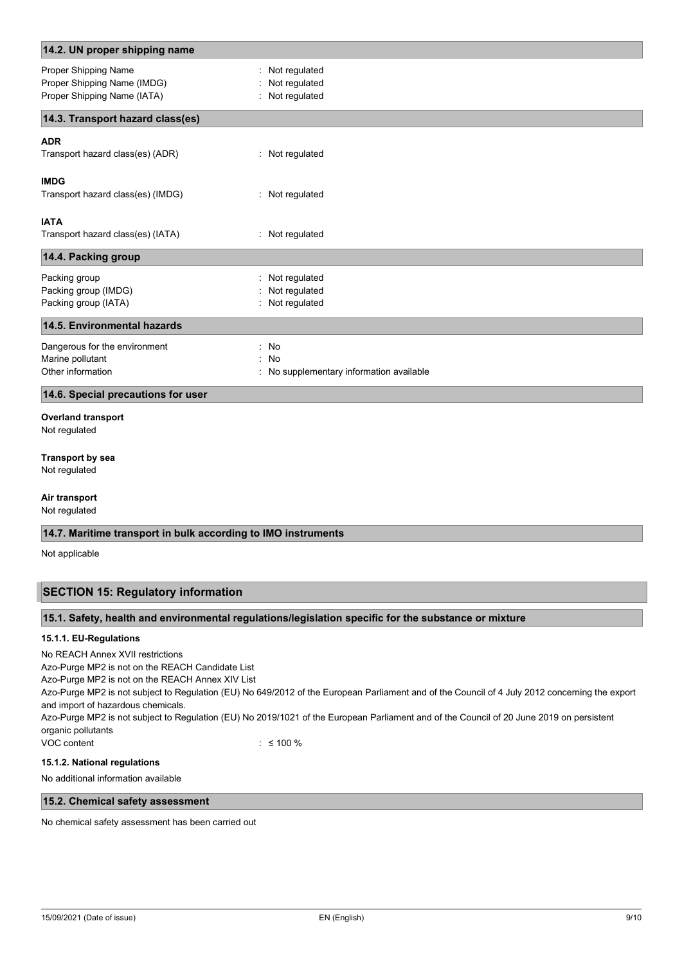| 14.2. UN proper shipping name                                                      |                                                     |  |
|------------------------------------------------------------------------------------|-----------------------------------------------------|--|
| Proper Shipping Name<br>Proper Shipping Name (IMDG)<br>Proper Shipping Name (IATA) | : Not regulated<br>Not regulated<br>: Not regulated |  |
| 14.3. Transport hazard class(es)                                                   |                                                     |  |
| <b>ADR</b>                                                                         |                                                     |  |
| Transport hazard class(es) (ADR)                                                   | : Not regulated                                     |  |
| <b>IMDG</b><br>Transport hazard class(es) (IMDG)                                   | : Not regulated                                     |  |
| <b>IATA</b>                                                                        |                                                     |  |
| Transport hazard class(es) (IATA)                                                  | : Not regulated                                     |  |
| 14.4. Packing group                                                                |                                                     |  |
| Packing group                                                                      | : Not regulated                                     |  |
| Packing group (IMDG)                                                               | Not regulated                                       |  |
| Packing group (IATA)                                                               | : Not regulated                                     |  |
| 14.5. Environmental hazards                                                        |                                                     |  |
| Dangerous for the environment                                                      | : No                                                |  |
| Marine pollutant                                                                   | : No                                                |  |
| Other information                                                                  | : No supplementary information available            |  |
| 14.6. Special precautions for user                                                 |                                                     |  |
| <b>Overland transport</b><br>Not regulated                                         |                                                     |  |
| <b>Transport by sea</b><br>Not regulated                                           |                                                     |  |
| Air transport                                                                      |                                                     |  |
| Not regulated                                                                      |                                                     |  |
| 14.7. Maritime transport in bulk according to IMO instruments                      |                                                     |  |

Not applicable

# **SECTION 15: Regulatory information**

# **15.1. Safety, health and environmental regulations/legislation specific for the substance or mixture**

#### **15.1.1. EU-Regulations**

No REACH Annex XVII restrictions

Azo-Purge MP2 is not on the REACH Candidate List

Azo-Purge MP2 is not on the REACH Annex XIV List

Azo-Purge MP2 is not subject to Regulation (EU) No 649/2012 of the European Parliament and of the Council of 4 July 2012 concerning the export and import of hazardous chemicals.

Azo-Purge MP2 is not subject to Regulation (EU) No 2019/1021 of the European Parliament and of the Council of 20 June 2019 on persistent organic pollutants

VOC content : ≤ 100 %

# **15.1.2. National regulations**

No additional information available

# **15.2. Chemical safety assessment**

No chemical safety assessment has been carried out